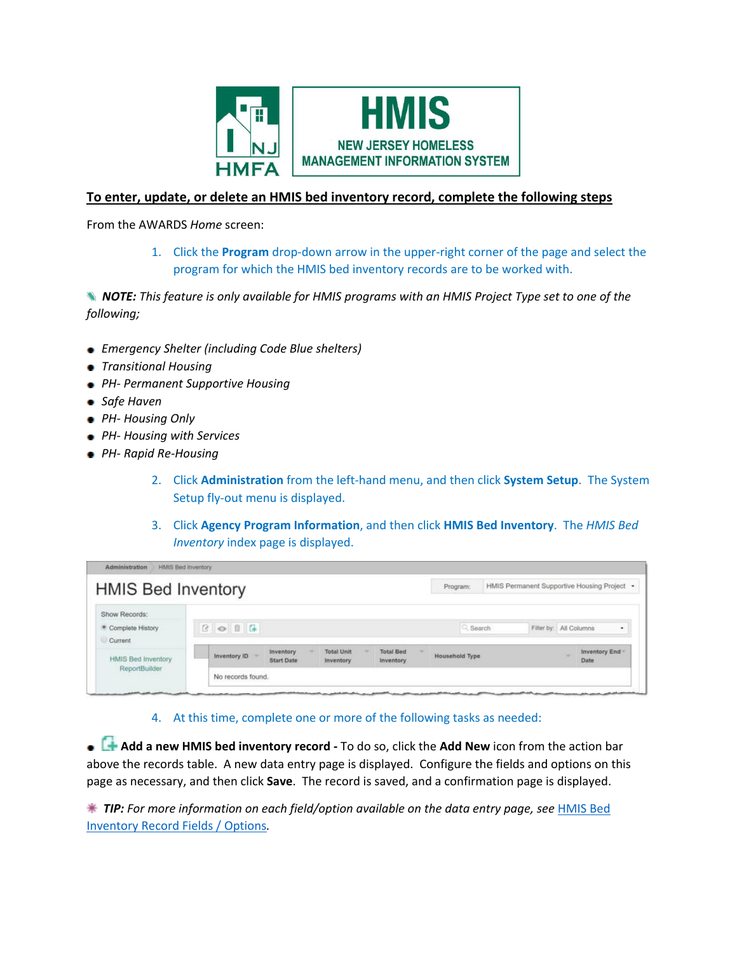

## **To enter, update, or delete an HMIS bed inventory record, complete the following steps**

From the AWARDS *Home* screen:

1. Click the **Program** drop-down arrow in the upper-right corner of the page and select the program for which the HMIS bed inventory records are to be worked with.

*NOTE: This feature is only available for HMIS programs with an HMIS Project Type set to one of the following;*

- *Emergency Shelter (including Code Blue shelters)*
- *Transitional Housing*
- *PH- Permanent Supportive Housing*
- *Safe Haven*
- *PH- Housing Only*
- *PH- Housing with Services*
- *PH- Rapid Re-Housing*
	- 2. Click **Administration** from the left-hand menu, and then click **System Setup**. The System Setup fly-out menu is displayed.
	- 3. Click **Agency Program Information**, and then click **HMIS Bed Inventory**. The *HMIS Bed Inventory* index page is displayed.

| Show Records:<br>· Complete History<br>Current | <b>B</b> $\circ$ <b>B B</b> |                                |                                |                               | Q. Search             | Filter by: All Columns | ٠                     |
|------------------------------------------------|-----------------------------|--------------------------------|--------------------------------|-------------------------------|-----------------------|------------------------|-----------------------|
| <b>HMIS Bed Inventory</b><br>ReportBuilder     | Inventory ID                | Inventory<br><b>Start Date</b> | <b>Total Unit</b><br>Inventory | <b>Total Bed</b><br>Inventory | <b>Household Type</b> |                        | Inventory End<br>Date |

## 4. At this time, complete one or more of the following tasks as needed:

 **Add a new HMIS bed inventory record -** To do so, click the **Add New** icon from the action bar above the records table. A new data entry page is displayed. Configure the fields and options on this page as necessary, and then click **Save**. The record is saved, and a confirmation page is displayed.

 *TIP: For more information on each field/option available on the data entry page, see* [HMIS Bed](https://demodb.footholdtechnology.com/help/-HMISBedInventoryFieldsOptions.html)  [Inventory Record Fields / Options](https://demodb.footholdtechnology.com/help/-HMISBedInventoryFieldsOptions.html)*.*